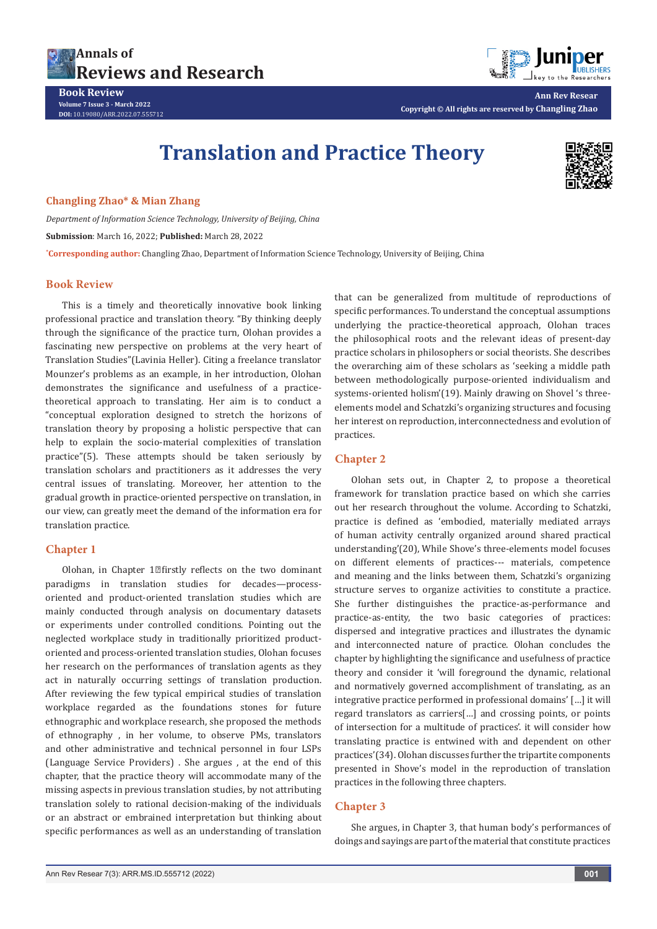

**Book Review Volume 7 Issue 3 - March 2022 DOI:** [10.19080/ARR.2022.07.5557](http://dx.doi.org/10.19080/ARR.2022.07.555712)12

**Ann Rev Resear Copyright © All rights are reserved by Changling Zhao**

# **Translation and Practice Theory**



#### **Changling Zhao\* & Mian Zhang**

*Department of Information Science Technology, University of Beijing, China* **Submission**: March 16, 2022; **Published:** March 28, 2022 **\* Corresponding author:** Changling Zhao, Department of Information Science Technology, University of Beijing, China

#### **Book Review**

This is a timely and theoretically innovative book linking professional practice and translation theory. "By thinking deeply through the significance of the practice turn, Olohan provides a fascinating new perspective on problems at the very heart of Translation Studies"(Lavinia Heller). Citing a freelance translator Mounzer's problems as an example, in her introduction, Olohan demonstrates the significance and usefulness of a practicetheoretical approach to translating. Her aim is to conduct a "conceptual exploration designed to stretch the horizons of translation theory by proposing a holistic perspective that can help to explain the socio-material complexities of translation practice"(5). These attempts should be taken seriously by translation scholars and practitioners as it addresses the very central issues of translating. Moreover, her attention to the gradual growth in practice-oriented perspective on translation, in our view, can greatly meet the demand of the information era for translation practice.

### **Chapter 1**

Olohan, in Chapter  $1$ <sup>o</sup>firstly reflects on the two dominant paradigms in translation studies for decades—processoriented and product-oriented translation studies which are mainly conducted through analysis on documentary datasets or experiments under controlled conditions. Pointing out the neglected workplace study in traditionally prioritized productoriented and process-oriented translation studies, Olohan focuses her research on the performances of translation agents as they act in naturally occurring settings of translation production. After reviewing the few typical empirical studies of translation workplace regarded as the foundations stones for future ethnographic and workplace research, she proposed the methods of ethnography , in her volume, to observe PMs, translators and other administrative and technical personnel in four LSPs (Language Service Providers) . She argues , at the end of this chapter, that the practice theory will accommodate many of the missing aspects in previous translation studies, by not attributing translation solely to rational decision-making of the individuals or an abstract or embrained interpretation but thinking about specific performances as well as an understanding of translation

that can be generalized from multitude of reproductions of specific performances. To understand the conceptual assumptions underlying the practice-theoretical approach, Olohan traces the philosophical roots and the relevant ideas of present-day practice scholars in philosophers or social theorists. She describes the overarching aim of these scholars as 'seeking a middle path between methodologically purpose-oriented individualism and systems-oriented holism'(19). Mainly drawing on Shovel 's threeelements model and Schatzki's organizing structures and focusing her interest on reproduction, interconnectedness and evolution of practices.

## **Chapter 2**

Olohan sets out, in Chapter 2, to propose a theoretical framework for translation practice based on which she carries out her research throughout the volume. According to Schatzki, practice is defined as 'embodied, materially mediated arrays of human activity centrally organized around shared practical understanding'(20), While Shove's three-elements model focuses on different elements of practices--- materials, competence and meaning and the links between them, Schatzki's organizing structure serves to organize activities to constitute a practice. She further distinguishes the practice-as-performance and practice-as-entity, the two basic categories of practices: dispersed and integrative practices and illustrates the dynamic and interconnected nature of practice. Olohan concludes the chapter by highlighting the significance and usefulness of practice theory and consider it 'will foreground the dynamic, relational and normatively governed accomplishment of translating, as an integrative practice performed in professional domains' […] it will regard translators as carriers[…] and crossing points, or points of intersection for a multitude of practices'. it will consider how translating practice is entwined with and dependent on other practices'(34). Olohan discusses further the tripartite components presented in Shove's model in the reproduction of translation practices in the following three chapters.

# **Chapter 3**

She argues, in Chapter 3, that human body's performances of doings and sayings are part of the material that constitute practices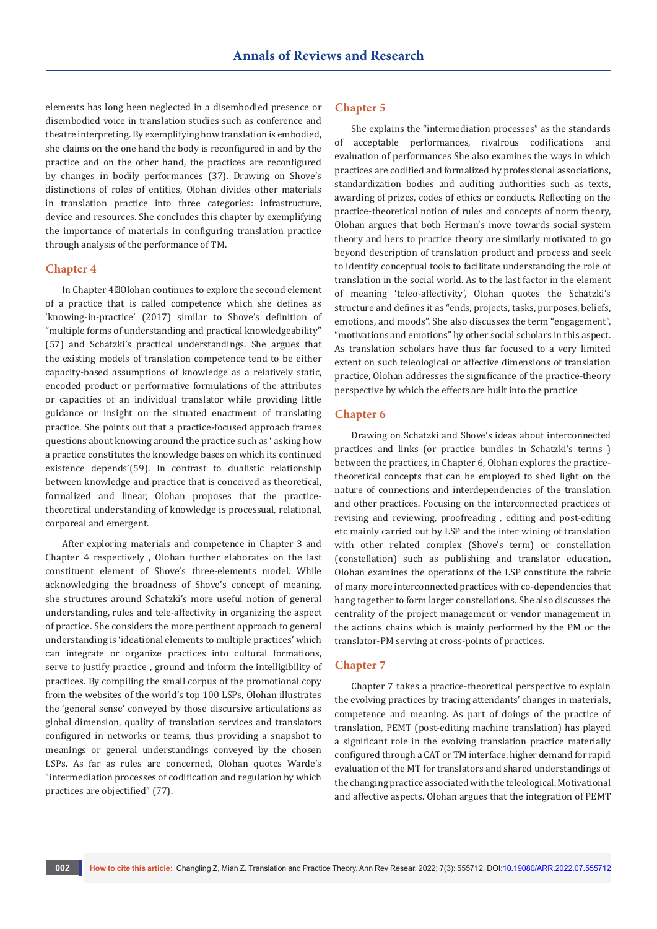elements has long been neglected in a disembodied presence or disembodied voice in translation studies such as conference and theatre interpreting. By exemplifying how translation is embodied, she claims on the one hand the body is reconfigured in and by the practice and on the other hand, the practices are reconfigured by changes in bodily performances (37). Drawing on Shove's distinctions of roles of entities, Olohan divides other materials in translation practice into three categories: infrastructure, device and resources. She concludes this chapter by exemplifying the importance of materials in configuring translation practice through analysis of the performance of TM.

#### **Chapter 4**

In Chapter  $4\mathbb{Z}$ Olohan continues to explore the second element of a practice that is called competence which she defines as 'knowing-in-practice' (2017) similar to Shove's definition of "multiple forms of understanding and practical knowledgeability" (57) and Schatzki's practical understandings. She argues that the existing models of translation competence tend to be either capacity-based assumptions of knowledge as a relatively static, encoded product or performative formulations of the attributes or capacities of an individual translator while providing little guidance or insight on the situated enactment of translating practice. She points out that a practice-focused approach frames questions about knowing around the practice such as ' asking how a practice constitutes the knowledge bases on which its continued existence depends'(59). In contrast to dualistic relationship between knowledge and practice that is conceived as theoretical, formalized and linear, Olohan proposes that the practicetheoretical understanding of knowledge is processual, relational, corporeal and emergent.

After exploring materials and competence in Chapter 3 and Chapter 4 respectively , Olohan further elaborates on the last constituent element of Shove's three-elements model. While acknowledging the broadness of Shove's concept of meaning, she structures around Schatzki's more useful notion of general understanding, rules and tele-affectivity in organizing the aspect of practice. She considers the more pertinent approach to general understanding is 'ideational elements to multiple practices' which can integrate or organize practices into cultural formations, serve to justify practice , ground and inform the intelligibility of practices. By compiling the small corpus of the promotional copy from the websites of the world's top 100 LSPs, Olohan illustrates the 'general sense' conveyed by those discursive articulations as global dimension, quality of translation services and translators configured in networks or teams, thus providing a snapshot to meanings or general understandings conveyed by the chosen LSPs. As far as rules are concerned, Olohan quotes Warde's "intermediation processes of codification and regulation by which practices are objectified" (77).

#### **Chapter 5**

She explains the "intermediation processes" as the standards of acceptable performances, rivalrous codifications and evaluation of performances She also examines the ways in which practices are codified and formalized by professional associations, standardization bodies and auditing authorities such as texts, awarding of prizes, codes of ethics or conducts. Reflecting on the practice-theoretical notion of rules and concepts of norm theory, Olohan argues that both Herman's move towards social system theory and hers to practice theory are similarly motivated to go beyond description of translation product and process and seek to identify conceptual tools to facilitate understanding the role of translation in the social world. As to the last factor in the element of meaning 'teleo-affectivity', Olohan quotes the Schatzki's structure and defines it as "ends, projects, tasks, purposes, beliefs, emotions, and moods". She also discusses the term "engagement", "motivations and emotions" by other social scholars in this aspect. As translation scholars have thus far focused to a very limited extent on such teleological or affective dimensions of translation practice, Olohan addresses the significance of the practice-theory perspective by which the effects are built into the practice

#### **Chapter 6**

Drawing on Schatzki and Shove's ideas about interconnected practices and links (or practice bundles in Schatzki's terms ) between the practices, in Chapter 6, Olohan explores the practicetheoretical concepts that can be employed to shed light on the nature of connections and interdependencies of the translation and other practices. Focusing on the interconnected practices of revising and reviewing, proofreading , editing and post-editing etc mainly carried out by LSP and the inter wining of translation with other related complex (Shove's term) or constellation (constellation) such as publishing and translator education, Olohan examines the operations of the LSP constitute the fabric of many more interconnected practices with co-dependencies that hang together to form larger constellations. She also discusses the centrality of the project management or vendor management in the actions chains which is mainly performed by the PM or the translator-PM serving at cross-points of practices.

#### **Chapter 7**

Chapter 7 takes a practice-theoretical perspective to explain the evolving practices by tracing attendants' changes in materials, competence and meaning. As part of doings of the practice of translation, PEMT (post-editing machine translation) has played a significant role in the evolving translation practice materially configured through a CAT or TM interface, higher demand for rapid evaluation of the MT for translators and shared understandings of the changing practice associated with the teleological. Motivational and affective aspects. Olohan argues that the integration of PEMT